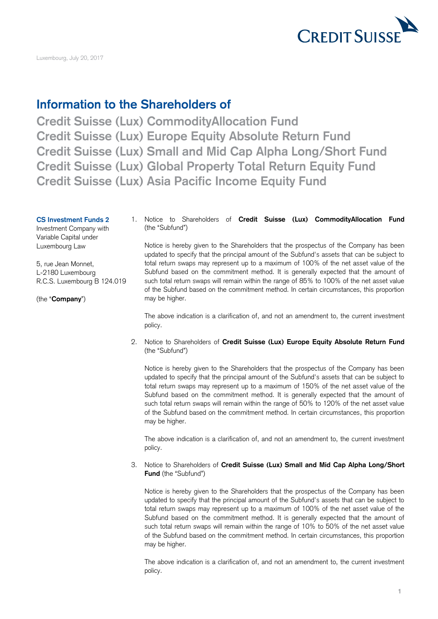

Luxembourg, July 20, 2017

## **Information to the Shareholders of**

 **Credit Suisse (Lux) Small and Mid Cap Alpha Long/Short Fund Credit Suisse (Lux) Global Property Total Return Equity Fund Credit Suisse (Lux) CommodityAllocation Fund Credit Suisse (Lux) Europe Equity Absolute Return Fund Credit Suisse (Lux) Asia Pacific Income Equity Fund** 

Investment Company with (the "Subfund") Variable Capital under

(the "**Company**") may be higher.

**CS Investment Funds 2** 1. Notice to Shareholders of **Credit Suisse (Lux) CommodityAllocation Fund** 

 Luxembourg Law Notice is hereby given to the Shareholders that the prospectus of the Company has been updated to specify that the principal amount of the Subfund's assets that can be subject to 5, rue Jean Monnet, total return swaps may represent up to a maximum of 100% of the net asset value of the L-2180 Luxembourg Subfund based on the commitment method. It is generally expected that the amount of R.C.S. Luxembourg B 124.019 such total return swaps will remain within the range of 85% to 100% of the net asset value of the Subfund based on the commitment method. In certain circumstances, this proportion

> The above indication is a clarification of, and not an amendment to, the current investment policy.

 2. Notice to Shareholders of **Credit Suisse (Lux) Europe Equity Absolute Return Fund**  (the "Subfund")

 Notice is hereby given to the Shareholders that the prospectus of the Company has been updated to specify that the principal amount of the Subfund's assets that can be subject to total return swaps may represent up to a maximum of 150% of the net asset value of the Subfund based on the commitment method. It is generally expected that the amount of such total return swaps will remain within the range of 50% to 120% of the net asset value of the Subfund based on the commitment method. In certain circumstances, this proportion may be higher.

 The above indication is a clarification of, and not an amendment to, the current investment policy.

 3. Notice to Shareholders of **Credit Suisse (Lux) Small and Mid Cap Alpha Long/Short Fund** (the "Subfund")

 Notice is hereby given to the Shareholders that the prospectus of the Company has been updated to specify that the principal amount of the Subfund's assets that can be subject to total return swaps may represent up to a maximum of 100% of the net asset value of the Subfund based on the commitment method. It is generally expected that the amount of such total return swaps will remain within the range of 10% to 50% of the net asset value of the Subfund based on the commitment method. In certain circumstances, this proportion may be higher.

 The above indication is a clarification of, and not an amendment to, the current investment policy.